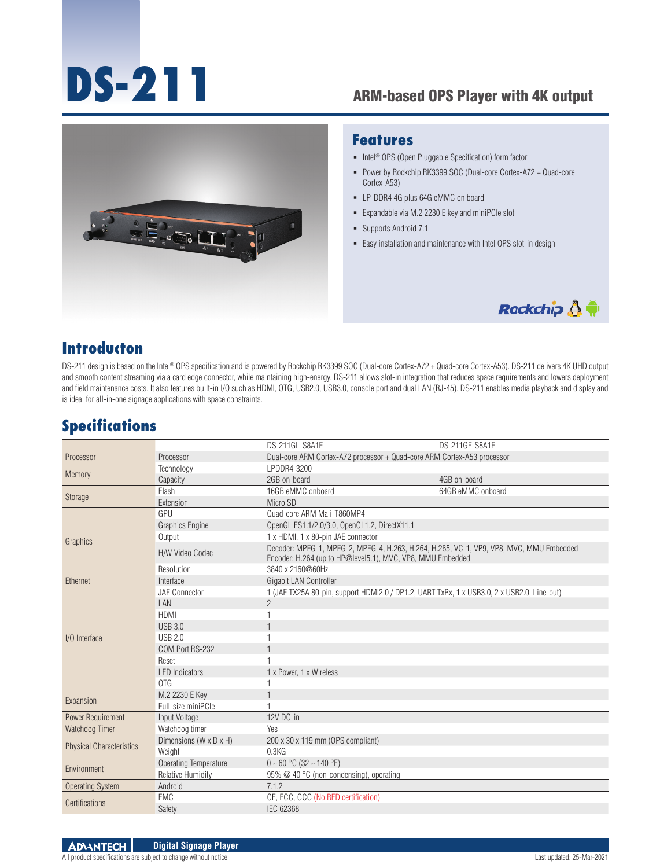# **DS-211** ARM-based OPS Player with 4K output



#### **Features**

- Intel<sup>®</sup> OPS (Open Pluggable Specification) form factor
- Power by Rockchip RK3399 SOC (Dual-core Cortex-A72 + Quad-core Cortex-A53)
- LP-DDR4 4G plus 64G eMMC on board
- Expandable via M.2 2230 E key and miniPCIe slot
- Supports Android 7.1
- Easy installation and maintenance with Intel OPS slot-in design



#### **Introducton**

DS-211 design is based on the Intel® OPS specification and is powered by Rockchip RK3399 SOC (Dual-core Cortex-A72 + Quad-core Cortex-A53). DS-211 delivers 4K UHD output and smooth content streaming via a card edge connector, while maintaining high-energy. DS-211 allows slot-in integration that reduces space requirements and lowers deployment and field maintenance costs. It also features built-in I/O such as HDMI, OTG, USB2.0, USB3.0, console port and dual LAN (RJ-45). DS-211 enables media playback and display and is ideal for all-in-one signage applications with space constraints.

#### **Specifications**

|                                 |                          | DS-211GL-S8A1E                                                                                                                                        | DS-211GF-S8A1E    |
|---------------------------------|--------------------------|-------------------------------------------------------------------------------------------------------------------------------------------------------|-------------------|
| Processor                       | Processor                | Dual-core ARM Cortex-A72 processor + Quad-core ARM Cortex-A53 processor                                                                               |                   |
| Memory                          | Technology               | LPDDR4-3200                                                                                                                                           |                   |
|                                 | Capacity                 | 2GB on-board                                                                                                                                          | 4GB on-board      |
| Storage                         | Flash                    | 16GB eMMC onboard                                                                                                                                     | 64GB eMMC onboard |
|                                 | Extension                | Micro SD                                                                                                                                              |                   |
| Graphics                        | GPU                      | Quad-core ARM Mali-T860MP4                                                                                                                            |                   |
|                                 | Graphics Engine          | OpenGL ES1.1/2.0/3.0, OpenCL1.2, DirectX11.1                                                                                                          |                   |
|                                 | Output                   | 1 x HDMI, 1 x 80-pin JAE connector                                                                                                                    |                   |
|                                 | H/W Video Codec          | Decoder: MPEG-1, MPEG-2, MPEG-4, H.263, H.264, H.265, VC-1, VP9, VP8, MVC, MMU Embedded<br>Encoder: H.264 (up to HP@level5.1), MVC, VP8, MMU Embedded |                   |
|                                 | Resolution               | 3840 x 2160@60Hz                                                                                                                                      |                   |
| Ethernet                        | Interface                | <b>Gigabit LAN Controller</b>                                                                                                                         |                   |
|                                 | JAE Connector            | 1 (JAE TX25A 80-pin, support HDMI2.0 / DP1.2, UART TxRx, 1 x USB3.0, 2 x USB2.0, Line-out)                                                            |                   |
|                                 | LAN                      | $\mathfrak{D}$                                                                                                                                        |                   |
|                                 | <b>HDMI</b>              |                                                                                                                                                       |                   |
|                                 | <b>USB 3.0</b>           |                                                                                                                                                       |                   |
| I/O Interface                   | <b>USB 2.0</b>           |                                                                                                                                                       |                   |
|                                 | COM Port RS-232          |                                                                                                                                                       |                   |
|                                 | Reset                    |                                                                                                                                                       |                   |
|                                 | <b>LED</b> Indicators    | 1 x Power, 1 x Wireless                                                                                                                               |                   |
|                                 | OTG                      |                                                                                                                                                       |                   |
| Expansion                       | M.2 2230 E Key           |                                                                                                                                                       |                   |
|                                 | Full-size miniPCle       |                                                                                                                                                       |                   |
| Power Requirement               | Input Voltage            | 12V DC-in                                                                                                                                             |                   |
| Watchdog Timer                  | Watchdog timer           | Yes                                                                                                                                                   |                   |
| <b>Physical Characteristics</b> | Dimensions (W x D x H)   | 200 x 30 x 119 mm (OPS compliant)                                                                                                                     |                   |
|                                 | Weight                   | 0.3KG                                                                                                                                                 |                   |
| Environment                     | Operating Temperature    | $0 \sim 60$ °C (32 ~ 140 °F)                                                                                                                          |                   |
|                                 | <b>Relative Humidity</b> | 95% @ 40 °C (non-condensing), operating                                                                                                               |                   |
| <b>Operating System</b>         | Android                  | 7.1.2                                                                                                                                                 |                   |
| Certifications                  | EMC                      | CE, FCC, CCC (No RED certification)                                                                                                                   |                   |
|                                 | Safety                   | <b>IEC 62368</b>                                                                                                                                      |                   |